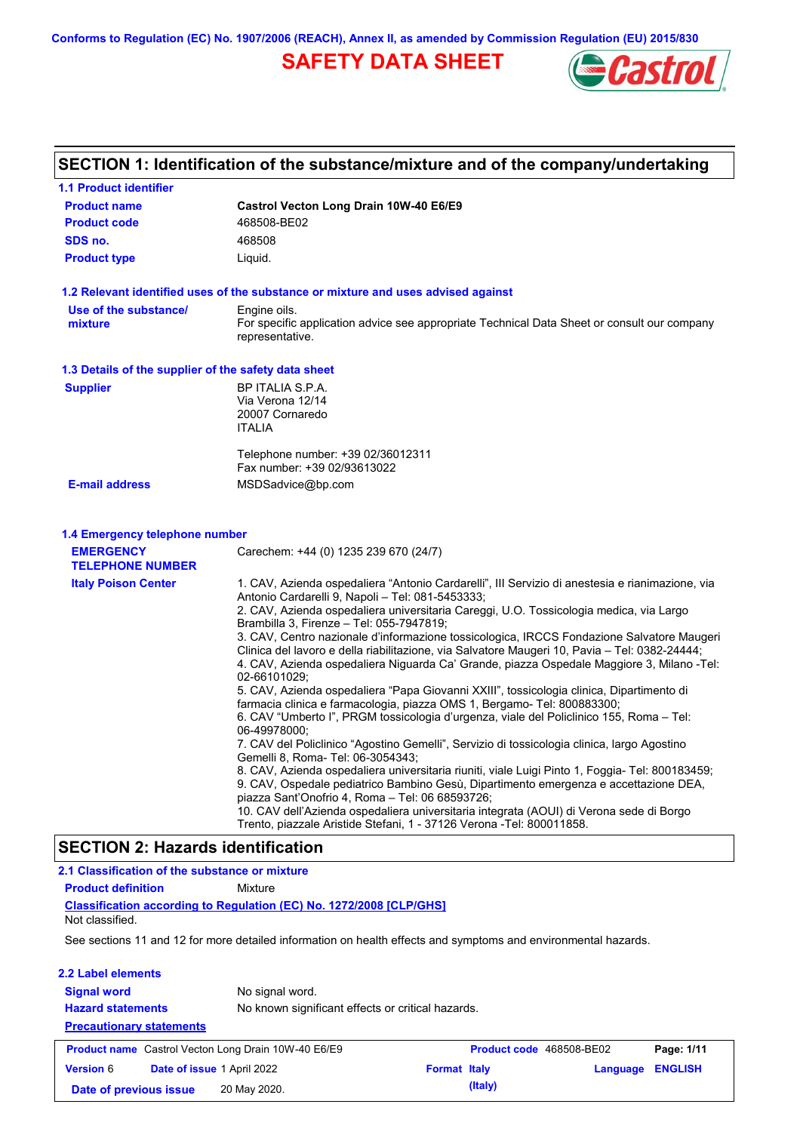**Conforms to Regulation (EC) No. 1907/2006 (REACH), Annex II, as amended by Commission Regulation (EU) 2015/830**

# **SAFETY DATA SHEET**



# **SECTION 1: Identification of the substance/mixture and of the company/undertaking**

| <b>1.1 Product identifier</b>                                                 |                                                                                                                                                                                                                                                                                                                                                                                                                                                                                                                                                                                                                                                                                                                                                                                                                                                                                                                                                                                                                                                                                                                                                                                                                                                                          |
|-------------------------------------------------------------------------------|--------------------------------------------------------------------------------------------------------------------------------------------------------------------------------------------------------------------------------------------------------------------------------------------------------------------------------------------------------------------------------------------------------------------------------------------------------------------------------------------------------------------------------------------------------------------------------------------------------------------------------------------------------------------------------------------------------------------------------------------------------------------------------------------------------------------------------------------------------------------------------------------------------------------------------------------------------------------------------------------------------------------------------------------------------------------------------------------------------------------------------------------------------------------------------------------------------------------------------------------------------------------------|
| <b>Product name</b>                                                           | Castrol Vecton Long Drain 10W-40 E6/E9                                                                                                                                                                                                                                                                                                                                                                                                                                                                                                                                                                                                                                                                                                                                                                                                                                                                                                                                                                                                                                                                                                                                                                                                                                   |
| <b>Product code</b>                                                           | 468508-BE02                                                                                                                                                                                                                                                                                                                                                                                                                                                                                                                                                                                                                                                                                                                                                                                                                                                                                                                                                                                                                                                                                                                                                                                                                                                              |
| SDS no.                                                                       | 468508                                                                                                                                                                                                                                                                                                                                                                                                                                                                                                                                                                                                                                                                                                                                                                                                                                                                                                                                                                                                                                                                                                                                                                                                                                                                   |
| <b>Product type</b>                                                           | Liquid.                                                                                                                                                                                                                                                                                                                                                                                                                                                                                                                                                                                                                                                                                                                                                                                                                                                                                                                                                                                                                                                                                                                                                                                                                                                                  |
|                                                                               | 1.2 Relevant identified uses of the substance or mixture and uses advised against                                                                                                                                                                                                                                                                                                                                                                                                                                                                                                                                                                                                                                                                                                                                                                                                                                                                                                                                                                                                                                                                                                                                                                                        |
| Use of the substance/<br>mixture                                              | Engine oils.<br>For specific application advice see appropriate Technical Data Sheet or consult our company<br>representative.                                                                                                                                                                                                                                                                                                                                                                                                                                                                                                                                                                                                                                                                                                                                                                                                                                                                                                                                                                                                                                                                                                                                           |
| 1.3 Details of the supplier of the safety data sheet                          |                                                                                                                                                                                                                                                                                                                                                                                                                                                                                                                                                                                                                                                                                                                                                                                                                                                                                                                                                                                                                                                                                                                                                                                                                                                                          |
| <b>Supplier</b>                                                               | BP ITALIA S.P.A.<br>Via Verona 12/14<br>20007 Cornaredo<br><b>ITALIA</b><br>Telephone number: +39 02/36012311                                                                                                                                                                                                                                                                                                                                                                                                                                                                                                                                                                                                                                                                                                                                                                                                                                                                                                                                                                                                                                                                                                                                                            |
|                                                                               | Fax number: +39 02/93613022                                                                                                                                                                                                                                                                                                                                                                                                                                                                                                                                                                                                                                                                                                                                                                                                                                                                                                                                                                                                                                                                                                                                                                                                                                              |
| <b>E-mail address</b>                                                         | MSDSadvice@bp.com                                                                                                                                                                                                                                                                                                                                                                                                                                                                                                                                                                                                                                                                                                                                                                                                                                                                                                                                                                                                                                                                                                                                                                                                                                                        |
| 1.4 Emergency telephone number<br><b>EMERGENCY</b><br><b>TELEPHONE NUMBER</b> | Carechem: +44 (0) 1235 239 670 (24/7)                                                                                                                                                                                                                                                                                                                                                                                                                                                                                                                                                                                                                                                                                                                                                                                                                                                                                                                                                                                                                                                                                                                                                                                                                                    |
| <b>Italy Poison Center</b>                                                    | 1. CAV, Azienda ospedaliera "Antonio Cardarelli", III Servizio di anestesia e rianimazione, via<br>Antonio Cardarelli 9, Napoli - Tel: 081-5453333;<br>2. CAV, Azienda ospedaliera universitaria Careggi, U.O. Tossicologia medica, via Largo<br>Brambilla 3, Firenze - Tel: 055-7947819;<br>3. CAV, Centro nazionale d'informazione tossicologica, IRCCS Fondazione Salvatore Maugeri<br>Clinica del lavoro e della riabilitazione, via Salvatore Maugeri 10, Pavia – Tel: 0382-24444;<br>4. CAV, Azienda ospedaliera Niguarda Ca' Grande, piazza Ospedale Maggiore 3, Milano -Tel:<br>02-66101029;<br>5. CAV, Azienda ospedaliera "Papa Giovanni XXIII", tossicologia clinica, Dipartimento di<br>farmacia clinica e farmacologia, piazza OMS 1, Bergamo- Tel: 800883300;<br>6. CAV "Umberto I", PRGM tossicologia d'urgenza, viale del Policlinico 155, Roma – Tel:<br>06-49978000:<br>7. CAV del Policlinico "Agostino Gemelli", Servizio di tossicologia clinica, largo Agostino<br>Gemelli 8, Roma- Tel: 06-3054343;<br>8. CAV, Azienda ospedaliera universitaria riuniti, viale Luigi Pinto 1, Foggia- Tel: 800183459;<br>9. CAV, Ospedale pediatrico Bambino Gesù, Dipartimento emergenza e accettazione DEA,<br>piazza Sant'Onofrio 4, Roma - Tel: 06 68593726; |
|                                                                               | 10. CAV dell'Azienda ospedaliera universitaria integrata (AOUI) di Verona sede di Borgo<br>Trento, piazzale Aristide Stefani, 1 - 37126 Verona -Tel: 800011858.                                                                                                                                                                                                                                                                                                                                                                                                                                                                                                                                                                                                                                                                                                                                                                                                                                                                                                                                                                                                                                                                                                          |
| <b>SECTION 2: Hazards identification</b>                                      |                                                                                                                                                                                                                                                                                                                                                                                                                                                                                                                                                                                                                                                                                                                                                                                                                                                                                                                                                                                                                                                                                                                                                                                                                                                                          |

| 2.1 Classification of the substance or mixture             |                                                                                                                |                     |                                 |          |                |
|------------------------------------------------------------|----------------------------------------------------------------------------------------------------------------|---------------------|---------------------------------|----------|----------------|
| <b>Product definition</b>                                  | Mixture                                                                                                        |                     |                                 |          |                |
| Not classified.                                            | Classification according to Regulation (EC) No. 1272/2008 [CLP/GHS]                                            |                     |                                 |          |                |
|                                                            | See sections 11 and 12 for more detailed information on health effects and symptoms and environmental hazards. |                     |                                 |          |                |
| 2.2 Label elements                                         |                                                                                                                |                     |                                 |          |                |
| <b>Signal word</b>                                         | No signal word.                                                                                                |                     |                                 |          |                |
| <b>Hazard statements</b>                                   | No known significant effects or critical hazards.                                                              |                     |                                 |          |                |
| <b>Precautionary statements</b>                            |                                                                                                                |                     |                                 |          |                |
| <b>Product name</b> Castrol Vecton Long Drain 10W-40 E6/E9 |                                                                                                                |                     | <b>Product code</b> 468508-BE02 |          | Page: 1/11     |
| <b>Version 6</b><br>Date of issue 1 April 2022             |                                                                                                                | <b>Format Italy</b> |                                 | Language | <b>ENGLISH</b> |
| Date of previous issue                                     | 20 May 2020.                                                                                                   |                     | (Italy)                         |          |                |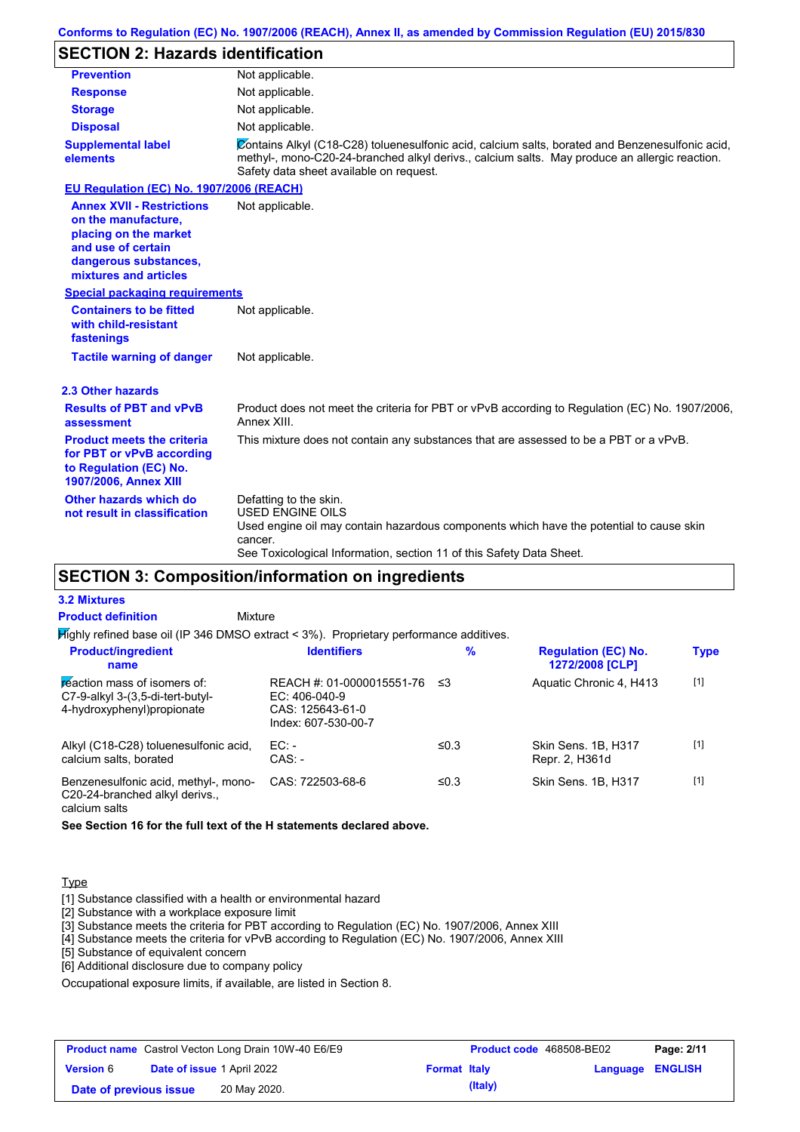# **SECTION 2: Hazards identification**

| <b>Prevention</b>                                                                                                                                        | Not applicable.                                                                                                                                                                                                                             |  |  |
|----------------------------------------------------------------------------------------------------------------------------------------------------------|---------------------------------------------------------------------------------------------------------------------------------------------------------------------------------------------------------------------------------------------|--|--|
| <b>Response</b>                                                                                                                                          | Not applicable.                                                                                                                                                                                                                             |  |  |
| <b>Storage</b>                                                                                                                                           | Not applicable.                                                                                                                                                                                                                             |  |  |
| <b>Disposal</b>                                                                                                                                          | Not applicable.                                                                                                                                                                                                                             |  |  |
| <b>Supplemental label</b><br>elements                                                                                                                    | Contains Alkyl (C18-C28) toluenesulfonic acid, calcium salts, borated and Benzenesulfonic acid,<br>methyl-, mono-C20-24-branched alkyl derivs., calcium salts. May produce an allergic reaction.<br>Safety data sheet available on request. |  |  |
| EU Regulation (EC) No. 1907/2006 (REACH)                                                                                                                 |                                                                                                                                                                                                                                             |  |  |
| <b>Annex XVII - Restrictions</b><br>on the manufacture.<br>placing on the market<br>and use of certain<br>dangerous substances,<br>mixtures and articles | Not applicable.                                                                                                                                                                                                                             |  |  |
| <b>Special packaging requirements</b>                                                                                                                    |                                                                                                                                                                                                                                             |  |  |
| <b>Containers to be fitted</b><br>with child-resistant<br>fastenings                                                                                     | Not applicable.                                                                                                                                                                                                                             |  |  |
| <b>Tactile warning of danger</b>                                                                                                                         | Not applicable.                                                                                                                                                                                                                             |  |  |
| 2.3 Other hazards                                                                                                                                        |                                                                                                                                                                                                                                             |  |  |
| <b>Results of PBT and vPvB</b><br>assessment                                                                                                             | Product does not meet the criteria for PBT or vPvB according to Regulation (EC) No. 1907/2006,<br>Annex XIII.                                                                                                                               |  |  |
| <b>Product meets the criteria</b><br>for PBT or vPvB according<br>to Regulation (EC) No.<br>1907/2006, Annex XIII                                        | This mixture does not contain any substances that are assessed to be a PBT or a vPvB.                                                                                                                                                       |  |  |
| Other hazards which do<br>not result in classification                                                                                                   | Defatting to the skin.<br><b>USED ENGINE OILS</b><br>Used engine oil may contain hazardous components which have the potential to cause skin<br>cancer.<br>See Toxicological Information, section 11 of this Safety Data Sheet.             |  |  |

# **SECTION 3: Composition/information on ingredients**

#### **3.2 Mixtures**

| <b>Product definition</b>                                                                       | Mixture                                                                                   |      |                                               |             |
|-------------------------------------------------------------------------------------------------|-------------------------------------------------------------------------------------------|------|-----------------------------------------------|-------------|
|                                                                                                 | $H$ ighly refined base oil (IP 346 DMSO extract < 3%). Proprietary performance additives. |      |                                               |             |
| <b>Product/ingredient</b><br>name                                                               | <b>Identifiers</b>                                                                        | %    | <b>Regulation (EC) No.</b><br>1272/2008 [CLP] | <b>Type</b> |
| reaction mass of isomers of:<br>C7-9-alkyl 3-(3,5-di-tert-butyl-<br>4-hydroxyphenyl) propionate | REACH #: 01-0000015551-76<br>$EC: 406-040-9$<br>CAS: 125643-61-0<br>Index: 607-530-00-7   | ≤3   | Aquatic Chronic 4, H413                       | $[1]$       |
| Alkyl (C18-C28) toluenesulfonic acid,<br>calcium salts, borated                                 | EC:<br>$CAS: -$                                                                           | ≤0.3 | Skin Sens, 1B, H317<br>Repr. 2, H361d         | $[1]$       |
| Benzenesulfonic acid, methyl-, mono-<br>C20-24-branched alkyl derivs                            | CAS: 722503-68-6                                                                          | ≤0.3 | Skin Sens, 1B, H317                           | $[1]$       |

calcium salts

**See Section 16 for the full text of the H statements declared above.**

#### **Type**

[1] Substance classified with a health or environmental hazard

[2] Substance with a workplace exposure limit

[3] Substance meets the criteria for PBT according to Regulation (EC) No. 1907/2006, Annex XIII

[4] Substance meets the criteria for vPvB according to Regulation (EC) No. 1907/2006, Annex XIII

[5] Substance of equivalent concern

[6] Additional disclosure due to company policy

Occupational exposure limits, if available, are listed in Section 8.

|                        |                                   | <b>Product name</b> Castrol Vecton Long Drain 10W-40 E6/E9 |                     | <b>Product code</b> 468508-BE02 |                         | Page: 2/11 |
|------------------------|-----------------------------------|------------------------------------------------------------|---------------------|---------------------------------|-------------------------|------------|
| <b>Version 6</b>       | <b>Date of issue 1 April 2022</b> |                                                            | <b>Format Italy</b> |                                 | <b>Language ENGLISH</b> |            |
| Date of previous issue |                                   | 20 May 2020.                                               |                     | (Italy)                         |                         |            |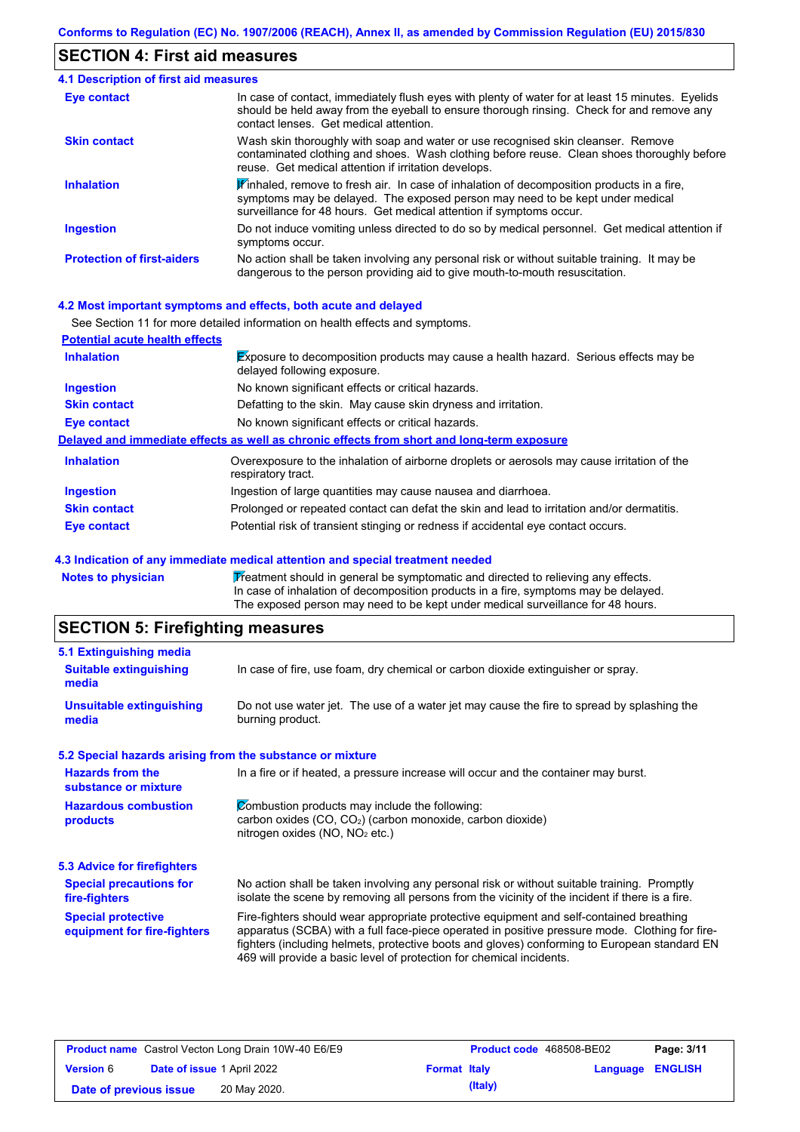## **SECTION 4: First aid measures**

| <b>4.1 Description of first aid measures</b> |                                                                                                                                                                                                                                                               |
|----------------------------------------------|---------------------------------------------------------------------------------------------------------------------------------------------------------------------------------------------------------------------------------------------------------------|
| Eye contact                                  | In case of contact, immediately flush eyes with plenty of water for at least 15 minutes. Eyelids<br>should be held away from the eyeball to ensure thorough rinsing. Check for and remove any<br>contact lenses. Get medical attention.                       |
| <b>Skin contact</b>                          | Wash skin thoroughly with soap and water or use recognised skin cleanser. Remove<br>contaminated clothing and shoes. Wash clothing before reuse. Clean shoes thoroughly before<br>reuse. Get medical attention if irritation develops.                        |
| <b>Inhalation</b>                            | $\mathbf{F}$ inhaled, remove to fresh air. In case of inhalation of decomposition products in a fire,<br>symptoms may be delayed. The exposed person may need to be kept under medical<br>surveillance for 48 hours. Get medical attention if symptoms occur. |
| <b>Ingestion</b>                             | Do not induce vomiting unless directed to do so by medical personnel. Get medical attention if<br>symptoms occur.                                                                                                                                             |
| <b>Protection of first-aiders</b>            | No action shall be taken involving any personal risk or without suitable training. It may be<br>dangerous to the person providing aid to give mouth-to-mouth resuscitation.                                                                                   |

### **4.2 Most important symptoms and effects, both acute and delayed**

|                                       | See Section 11 for more detailed information on health effects and symptoms.                                               |
|---------------------------------------|----------------------------------------------------------------------------------------------------------------------------|
| <b>Potential acute health effects</b> |                                                                                                                            |
| <b>Inhalation</b>                     | <b>Exposure to decomposition products may cause a health hazard.</b> Serious effects may be<br>delayed following exposure. |
| <b>Ingestion</b>                      | No known significant effects or critical hazards.                                                                          |
| <b>Skin contact</b>                   | Defatting to the skin. May cause skin dryness and irritation.                                                              |
| Eye contact                           | No known significant effects or critical hazards.                                                                          |
|                                       | Delayed and immediate effects as well as chronic effects from short and long-term exposure                                 |
| <b>Inhalation</b>                     | Overexposure to the inhalation of airborne droplets or aerosols may cause irritation of the<br>respiratory tract.          |
| <b>Ingestion</b>                      | Ingestion of large quantities may cause nausea and diarrhoea.                                                              |
| <b>Skin contact</b>                   | Prolonged or repeated contact can defat the skin and lead to irritation and/or dermatitis.                                 |
| Eye contact                           | Potential risk of transient stinging or redness if accidental eye contact occurs.                                          |

### **4.3 Indication of any immediate medical attention and special treatment needed**

| <b>Notes to physician</b> | Treatment should in general be symptomatic and directed to relieving any effects.   |
|---------------------------|-------------------------------------------------------------------------------------|
|                           | In case of inhalation of decomposition products in a fire, symptoms may be delayed. |
|                           | The exposed person may need to be kept under medical surveillance for 48 hours.     |

# **SECTION 5: Firefighting measures**

| 5.1 Extinguishing media                                   |                                                                                                                                                                                                                                                                                                                                                                   |
|-----------------------------------------------------------|-------------------------------------------------------------------------------------------------------------------------------------------------------------------------------------------------------------------------------------------------------------------------------------------------------------------------------------------------------------------|
| <b>Suitable extinguishing</b><br>media                    | In case of fire, use foam, dry chemical or carbon dioxide extinguisher or spray.                                                                                                                                                                                                                                                                                  |
| <b>Unsuitable extinguishing</b><br>media                  | Do not use water jet. The use of a water jet may cause the fire to spread by splashing the<br>burning product.                                                                                                                                                                                                                                                    |
| 5.2 Special hazards arising from the substance or mixture |                                                                                                                                                                                                                                                                                                                                                                   |
| <b>Hazards from the</b><br>substance or mixture           | In a fire or if heated, a pressure increase will occur and the container may burst.                                                                                                                                                                                                                                                                               |
| <b>Hazardous combustion</b><br>products                   | Combustion products may include the following:<br>carbon oxides (CO, CO <sub>2</sub> ) (carbon monoxide, carbon dioxide)<br>nitrogen oxides (NO, NO <sub>2</sub> etc.)                                                                                                                                                                                            |
| <b>5.3 Advice for firefighters</b>                        |                                                                                                                                                                                                                                                                                                                                                                   |
| <b>Special precautions for</b><br>fire-fighters           | No action shall be taken involving any personal risk or without suitable training. Promptly<br>isolate the scene by removing all persons from the vicinity of the incident if there is a fire.                                                                                                                                                                    |
| <b>Special protective</b><br>equipment for fire-fighters  | Fire-fighters should wear appropriate protective equipment and self-contained breathing<br>apparatus (SCBA) with a full face-piece operated in positive pressure mode. Clothing for fire-<br>fighters (including helmets, protective boots and gloves) conforming to European standard EN<br>469 will provide a basic level of protection for chemical incidents. |

|                        | <b>Product name</b> Castrol Vecton Long Drain 10W-40 E6/E9 |                     | <b>Product code</b> 468508-BE02 |                         | Page: 3/11 |
|------------------------|------------------------------------------------------------|---------------------|---------------------------------|-------------------------|------------|
| <b>Version 6</b>       | <b>Date of issue 1 April 2022</b>                          | <b>Format Italy</b> |                                 | <b>Language ENGLISH</b> |            |
| Date of previous issue | 20 May 2020.                                               |                     | (Italy)                         |                         |            |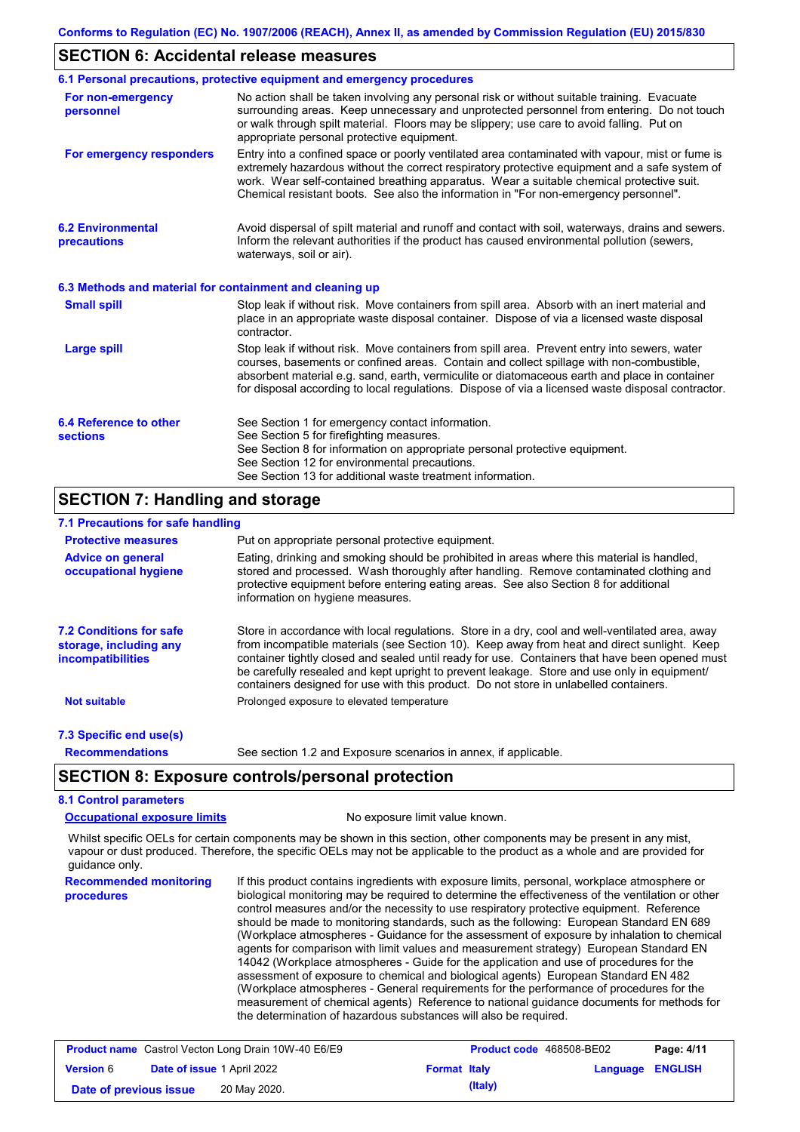### **SECTION 6: Accidental release measures**

|                                                          | 6.1 Personal precautions, protective equipment and emergency procedures                                                                                                                                                                                                                                                                                                                        |
|----------------------------------------------------------|------------------------------------------------------------------------------------------------------------------------------------------------------------------------------------------------------------------------------------------------------------------------------------------------------------------------------------------------------------------------------------------------|
| For non-emergency<br>personnel                           | No action shall be taken involving any personal risk or without suitable training. Evacuate<br>surrounding areas. Keep unnecessary and unprotected personnel from entering. Do not touch<br>or walk through spilt material. Floors may be slippery; use care to avoid falling. Put on<br>appropriate personal protective equipment.                                                            |
| For emergency responders                                 | Entry into a confined space or poorly ventilated area contaminated with vapour, mist or fume is<br>extremely hazardous without the correct respiratory protective equipment and a safe system of<br>work. Wear self-contained breathing apparatus. Wear a suitable chemical protective suit.<br>Chemical resistant boots. See also the information in "For non-emergency personnel".           |
| <b>6.2 Environmental</b><br>precautions                  | Avoid dispersal of spilt material and runoff and contact with soil, waterways, drains and sewers.<br>Inform the relevant authorities if the product has caused environmental pollution (sewers,<br>waterways, soil or air).                                                                                                                                                                    |
| 6.3 Methods and material for containment and cleaning up |                                                                                                                                                                                                                                                                                                                                                                                                |
| <b>Small spill</b>                                       | Stop leak if without risk. Move containers from spill area. Absorb with an inert material and<br>place in an appropriate waste disposal container. Dispose of via a licensed waste disposal<br>contractor.                                                                                                                                                                                     |
| <b>Large spill</b>                                       | Stop leak if without risk. Move containers from spill area. Prevent entry into sewers, water<br>courses, basements or confined areas. Contain and collect spillage with non-combustible,<br>absorbent material e.g. sand, earth, vermiculite or diatomaceous earth and place in container<br>for disposal according to local regulations. Dispose of via a licensed waste disposal contractor. |
| 6.4 Reference to other<br><b>sections</b>                | See Section 1 for emergency contact information.<br>See Section 5 for firefighting measures.<br>See Section 8 for information on appropriate personal protective equipment.<br>See Section 12 for environmental precautions.<br>See Section 13 for additional waste treatment information.                                                                                                     |

## **SECTION 7: Handling and storage**

## **7.1 Precautions for safe handling**

| <b>Protective measures</b>                                                           | Put on appropriate personal protective equipment.                                                                                                                                                                                                                                                                                                                                                                                                                                        |
|--------------------------------------------------------------------------------------|------------------------------------------------------------------------------------------------------------------------------------------------------------------------------------------------------------------------------------------------------------------------------------------------------------------------------------------------------------------------------------------------------------------------------------------------------------------------------------------|
| <b>Advice on general</b><br>occupational hygiene                                     | Eating, drinking and smoking should be prohibited in areas where this material is handled,<br>stored and processed. Wash thoroughly after handling. Remove contaminated clothing and<br>protective equipment before entering eating areas. See also Section 8 for additional<br>information on hygiene measures.                                                                                                                                                                         |
| <b>7.2 Conditions for safe</b><br>storage, including any<br><i>incompatibilities</i> | Store in accordance with local requlations. Store in a dry, cool and well-ventilated area, away<br>from incompatible materials (see Section 10). Keep away from heat and direct sunlight. Keep<br>container tightly closed and sealed until ready for use. Containers that have been opened must<br>be carefully resealed and kept upright to prevent leakage. Store and use only in equipment/<br>containers designed for use with this product. Do not store in unlabelled containers. |
| <b>Not suitable</b>                                                                  | Prolonged exposure to elevated temperature                                                                                                                                                                                                                                                                                                                                                                                                                                               |
| 7.3 Specific end use(s)                                                              |                                                                                                                                                                                                                                                                                                                                                                                                                                                                                          |
| <b>Recommendations</b>                                                               | See section 1.2 and Exposure scenarios in annex, if applicable.                                                                                                                                                                                                                                                                                                                                                                                                                          |

## **SECTION 8: Exposure controls/personal protection**

## **8.1 Control parameters**

**Occupational exposure limits** No exposure limit value known.

Whilst specific OELs for certain components may be shown in this section, other components may be present in any mist, vapour or dust produced. Therefore, the specific OELs may not be applicable to the product as a whole and are provided for guidance only.

**Recommended monitoring procedures** If this product contains ingredients with exposure limits, personal, workplace atmosphere or biological monitoring may be required to determine the effectiveness of the ventilation or other control measures and/or the necessity to use respiratory protective equipment. Reference should be made to monitoring standards, such as the following: European Standard EN 689 (Workplace atmospheres - Guidance for the assessment of exposure by inhalation to chemical agents for comparison with limit values and measurement strategy) European Standard EN 14042 (Workplace atmospheres - Guide for the application and use of procedures for the assessment of exposure to chemical and biological agents) European Standard EN 482 (Workplace atmospheres - General requirements for the performance of procedures for the measurement of chemical agents) Reference to national guidance documents for methods for the determination of hazardous substances will also be required.

| <b>Product name</b> Castrol Vecton Long Drain 10W-40 E6/E9 |  |                                   | <b>Product code</b> 468508-BE02 | Page: 4/11 |                         |  |
|------------------------------------------------------------|--|-----------------------------------|---------------------------------|------------|-------------------------|--|
| <b>Version 6</b>                                           |  | <b>Date of issue 1 April 2022</b> | <b>Format Italy</b>             |            | <b>Language ENGLISH</b> |  |
| Date of previous issue                                     |  | 20 May 2020.                      |                                 | (Italy)    |                         |  |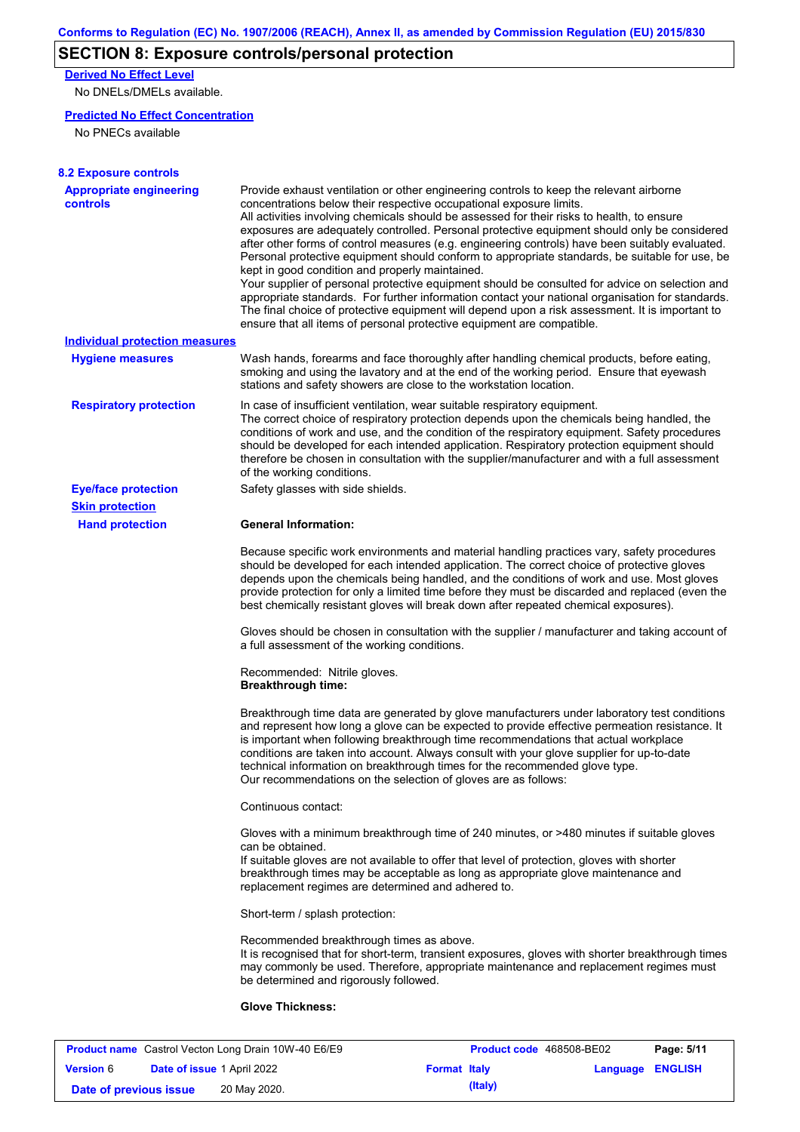# **SECTION 8: Exposure controls/personal protection**

**Derived No Effect Level**

No DNELs/DMELs available.

### **Predicted No Effect Concentration**

No PNECs available

| <b>Appropriate engineering</b><br>controls | Provide exhaust ventilation or other engineering controls to keep the relevant airborne<br>concentrations below their respective occupational exposure limits.<br>All activities involving chemicals should be assessed for their risks to health, to ensure<br>exposures are adequately controlled. Personal protective equipment should only be considered<br>after other forms of control measures (e.g. engineering controls) have been suitably evaluated.<br>Personal protective equipment should conform to appropriate standards, be suitable for use, be<br>kept in good condition and properly maintained.<br>Your supplier of personal protective equipment should be consulted for advice on selection and<br>appropriate standards. For further information contact your national organisation for standards.<br>The final choice of protective equipment will depend upon a risk assessment. It is important to<br>ensure that all items of personal protective equipment are compatible. |
|--------------------------------------------|---------------------------------------------------------------------------------------------------------------------------------------------------------------------------------------------------------------------------------------------------------------------------------------------------------------------------------------------------------------------------------------------------------------------------------------------------------------------------------------------------------------------------------------------------------------------------------------------------------------------------------------------------------------------------------------------------------------------------------------------------------------------------------------------------------------------------------------------------------------------------------------------------------------------------------------------------------------------------------------------------------|
| <b>Individual protection measures</b>      |                                                                                                                                                                                                                                                                                                                                                                                                                                                                                                                                                                                                                                                                                                                                                                                                                                                                                                                                                                                                         |
| <b>Hygiene measures</b>                    | Wash hands, forearms and face thoroughly after handling chemical products, before eating,<br>smoking and using the lavatory and at the end of the working period. Ensure that eyewash<br>stations and safety showers are close to the workstation location.                                                                                                                                                                                                                                                                                                                                                                                                                                                                                                                                                                                                                                                                                                                                             |
| <b>Respiratory protection</b>              | In case of insufficient ventilation, wear suitable respiratory equipment.<br>The correct choice of respiratory protection depends upon the chemicals being handled, the<br>conditions of work and use, and the condition of the respiratory equipment. Safety procedures<br>should be developed for each intended application. Respiratory protection equipment should<br>therefore be chosen in consultation with the supplier/manufacturer and with a full assessment<br>of the working conditions.                                                                                                                                                                                                                                                                                                                                                                                                                                                                                                   |
| <b>Eye/face protection</b>                 | Safety glasses with side shields.                                                                                                                                                                                                                                                                                                                                                                                                                                                                                                                                                                                                                                                                                                                                                                                                                                                                                                                                                                       |
| <b>Skin protection</b>                     |                                                                                                                                                                                                                                                                                                                                                                                                                                                                                                                                                                                                                                                                                                                                                                                                                                                                                                                                                                                                         |
| <b>Hand protection</b>                     | <b>General Information:</b>                                                                                                                                                                                                                                                                                                                                                                                                                                                                                                                                                                                                                                                                                                                                                                                                                                                                                                                                                                             |
|                                            | Because specific work environments and material handling practices vary, safety procedures<br>should be developed for each intended application. The correct choice of protective gloves<br>depends upon the chemicals being handled, and the conditions of work and use. Most gloves<br>provide protection for only a limited time before they must be discarded and replaced (even the<br>best chemically resistant gloves will break down after repeated chemical exposures).                                                                                                                                                                                                                                                                                                                                                                                                                                                                                                                        |
|                                            | Gloves should be chosen in consultation with the supplier / manufacturer and taking account of<br>a full assessment of the working conditions.                                                                                                                                                                                                                                                                                                                                                                                                                                                                                                                                                                                                                                                                                                                                                                                                                                                          |
|                                            | Recommended: Nitrile gloves.<br><b>Breakthrough time:</b>                                                                                                                                                                                                                                                                                                                                                                                                                                                                                                                                                                                                                                                                                                                                                                                                                                                                                                                                               |
|                                            | Breakthrough time data are generated by glove manufacturers under laboratory test conditions<br>and represent how long a glove can be expected to provide effective permeation resistance. It<br>is important when following breakthrough time recommendations that actual workplace<br>conditions are taken into account. Always consult with your glove supplier for up-to-date<br>technical information on breakthrough times for the recommended glove type.<br>Our recommendations on the selection of gloves are as follows:                                                                                                                                                                                                                                                                                                                                                                                                                                                                      |
|                                            | Continuous contact:                                                                                                                                                                                                                                                                                                                                                                                                                                                                                                                                                                                                                                                                                                                                                                                                                                                                                                                                                                                     |
|                                            | Gloves with a minimum breakthrough time of 240 minutes, or >480 minutes if suitable gloves<br>can be obtained.<br>If suitable gloves are not available to offer that level of protection, gloves with shorter<br>breakthrough times may be acceptable as long as appropriate glove maintenance and<br>replacement regimes are determined and adhered to.                                                                                                                                                                                                                                                                                                                                                                                                                                                                                                                                                                                                                                                |
|                                            | Short-term / splash protection:                                                                                                                                                                                                                                                                                                                                                                                                                                                                                                                                                                                                                                                                                                                                                                                                                                                                                                                                                                         |
|                                            | Recommended breakthrough times as above.<br>It is recognised that for short-term, transient exposures, gloves with shorter breakthrough times<br>may commonly be used. Therefore, appropriate maintenance and replacement regimes must<br>be determined and rigorously followed.                                                                                                                                                                                                                                                                                                                                                                                                                                                                                                                                                                                                                                                                                                                        |
|                                            |                                                                                                                                                                                                                                                                                                                                                                                                                                                                                                                                                                                                                                                                                                                                                                                                                                                                                                                                                                                                         |

| <b>Product name</b> Castrol Vecton Long Drain 10W-40 E6/E9 |  |                                   | Product code 468508-BE02 |         | Page: 5/11              |  |
|------------------------------------------------------------|--|-----------------------------------|--------------------------|---------|-------------------------|--|
| <b>Version 6</b>                                           |  | <b>Date of issue 1 April 2022</b> | <b>Format Italy</b>      |         | <b>Language ENGLISH</b> |  |
| Date of previous issue                                     |  | 20 May 2020.                      |                          | (Italy) |                         |  |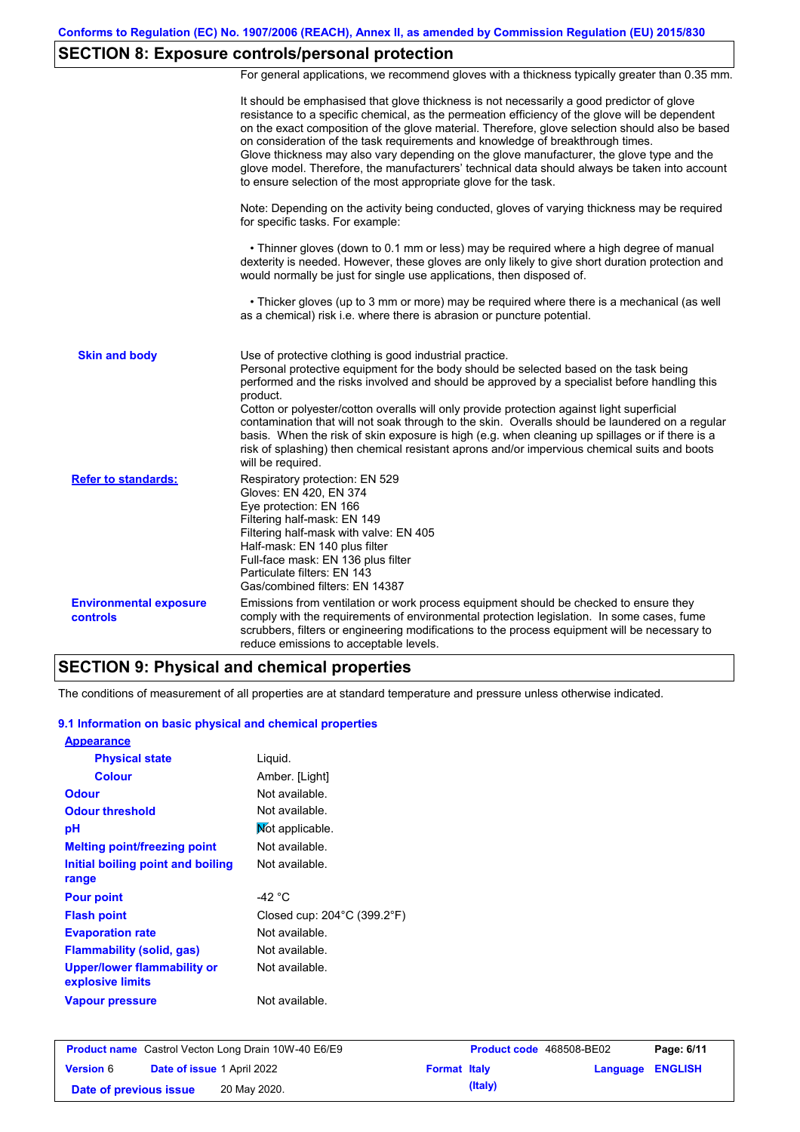# **SECTION 8: Exposure controls/personal protection**

For general applications, we recommend gloves with a thickness typically greater than 0.35 mm.

|                                                  | It should be emphasised that glove thickness is not necessarily a good predictor of glove<br>resistance to a specific chemical, as the permeation efficiency of the glove will be dependent<br>on the exact composition of the glove material. Therefore, glove selection should also be based<br>on consideration of the task requirements and knowledge of breakthrough times.<br>Glove thickness may also vary depending on the glove manufacturer, the glove type and the<br>glove model. Therefore, the manufacturers' technical data should always be taken into account<br>to ensure selection of the most appropriate glove for the task.                                     |
|--------------------------------------------------|---------------------------------------------------------------------------------------------------------------------------------------------------------------------------------------------------------------------------------------------------------------------------------------------------------------------------------------------------------------------------------------------------------------------------------------------------------------------------------------------------------------------------------------------------------------------------------------------------------------------------------------------------------------------------------------|
|                                                  | Note: Depending on the activity being conducted, gloves of varying thickness may be required<br>for specific tasks. For example:                                                                                                                                                                                                                                                                                                                                                                                                                                                                                                                                                      |
|                                                  | • Thinner gloves (down to 0.1 mm or less) may be required where a high degree of manual<br>dexterity is needed. However, these gloves are only likely to give short duration protection and<br>would normally be just for single use applications, then disposed of.                                                                                                                                                                                                                                                                                                                                                                                                                  |
|                                                  | • Thicker gloves (up to 3 mm or more) may be required where there is a mechanical (as well<br>as a chemical) risk i.e. where there is abrasion or puncture potential.                                                                                                                                                                                                                                                                                                                                                                                                                                                                                                                 |
| <b>Skin and body</b>                             | Use of protective clothing is good industrial practice.<br>Personal protective equipment for the body should be selected based on the task being<br>performed and the risks involved and should be approved by a specialist before handling this<br>product.<br>Cotton or polyester/cotton overalls will only provide protection against light superficial<br>contamination that will not soak through to the skin. Overalls should be laundered on a regular<br>basis. When the risk of skin exposure is high (e.g. when cleaning up spillages or if there is a<br>risk of splashing) then chemical resistant aprons and/or impervious chemical suits and boots<br>will be required. |
| <b>Refer to standards:</b>                       | Respiratory protection: EN 529<br>Gloves: EN 420, EN 374<br>Eye protection: EN 166<br>Filtering half-mask: EN 149<br>Filtering half-mask with valve: EN 405<br>Half-mask: EN 140 plus filter<br>Full-face mask: EN 136 plus filter<br>Particulate filters: EN 143<br>Gas/combined filters: EN 14387                                                                                                                                                                                                                                                                                                                                                                                   |
| <b>Environmental exposure</b><br><b>controls</b> | Emissions from ventilation or work process equipment should be checked to ensure they<br>comply with the requirements of environmental protection legislation. In some cases, fume<br>scrubbers, filters or engineering modifications to the process equipment will be necessary to<br>reduce emissions to acceptable levels.                                                                                                                                                                                                                                                                                                                                                         |

## **SECTION 9: Physical and chemical properties**

The conditions of measurement of all properties are at standard temperature and pressure unless otherwise indicated.

### **9.1 Information on basic physical and chemical properties**

| <b>Appearance</b>                               |                                                  |
|-------------------------------------------------|--------------------------------------------------|
| <b>Physical state</b>                           | Liquid.                                          |
| <b>Colour</b>                                   | Amber. [Light]                                   |
| <b>Odour</b>                                    | Not available.                                   |
| <b>Odour threshold</b>                          | Not available.                                   |
| рH                                              | Mot applicable.                                  |
| <b>Melting point/freezing point</b>             | Not available.                                   |
| Initial boiling point and boiling               | Not available.                                   |
| range                                           |                                                  |
| <b>Pour point</b>                               | -42 °C                                           |
| <b>Flash point</b>                              | Closed cup: $204^{\circ}$ C (399.2 $^{\circ}$ F) |
| <b>Evaporation rate</b>                         | Not available.                                   |
| <b>Flammability (solid, gas)</b>                | Not available.                                   |
| Upper/lower flammability or<br>explosive limits | Not available.                                   |
| Vapour pressure                                 | Not available.                                   |

| <b>Product name</b> Castrol Vecton Long Drain 10W-40 E6/E9 |                                   |              | <b>Product code</b> 468508-BE02 |         | Page: 6/11              |  |
|------------------------------------------------------------|-----------------------------------|--------------|---------------------------------|---------|-------------------------|--|
| <b>Version 6</b>                                           | <b>Date of issue 1 April 2022</b> |              | <b>Format Italy</b>             |         | <b>Language ENGLISH</b> |  |
| Date of previous issue                                     |                                   | 20 May 2020. |                                 | (Italy) |                         |  |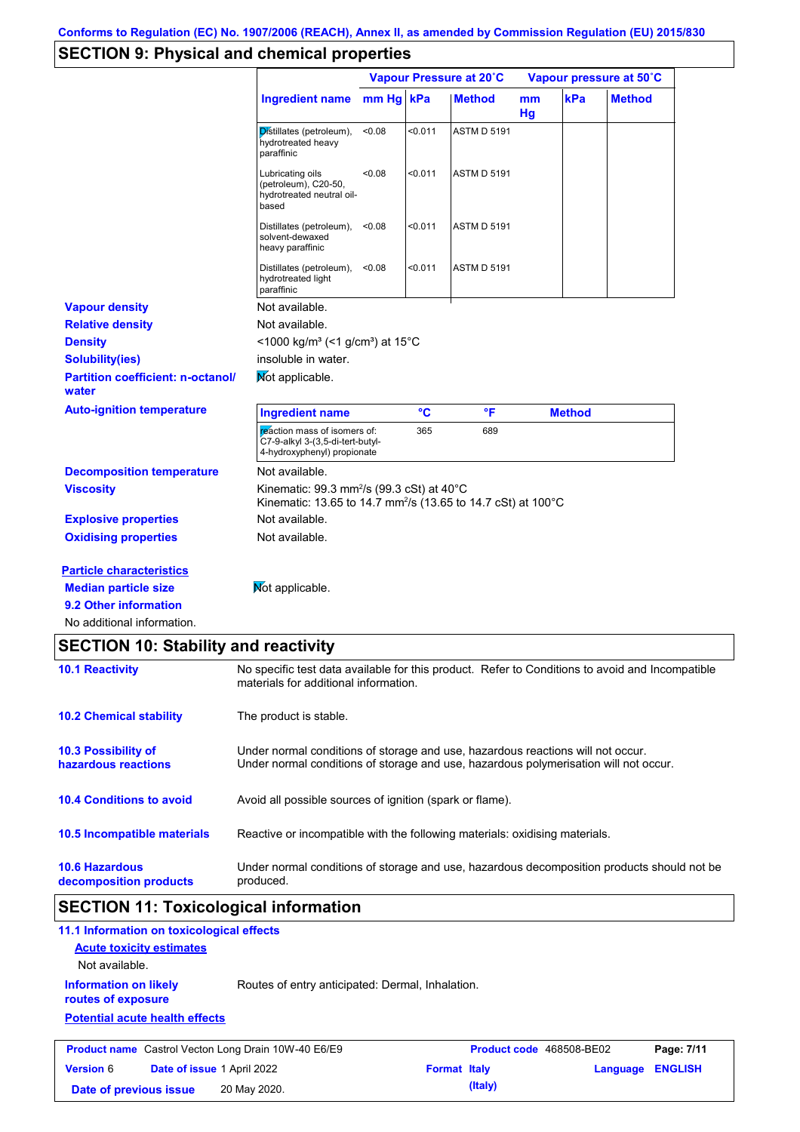# **SECTION 9: Physical and chemical properties**

|                                                                                                                    |                                                                                                                                                  | Vapour Pressure at 20°C |                 | Vapour pressure at 50°C |                     |               |               |
|--------------------------------------------------------------------------------------------------------------------|--------------------------------------------------------------------------------------------------------------------------------------------------|-------------------------|-----------------|-------------------------|---------------------|---------------|---------------|
|                                                                                                                    | <b>Ingredient name</b>                                                                                                                           | mm Hg kPa               |                 | <b>Method</b>           | <sub>mm</sub><br>Hg | kPa           | <b>Method</b> |
|                                                                                                                    | Distillates (petroleum),<br>hydrotreated heavy<br>paraffinic                                                                                     | < 0.08                  | < 0.011         | <b>ASTM D 5191</b>      |                     |               |               |
|                                                                                                                    | Lubricating oils<br>(petroleum), C20-50,<br>hydrotreated neutral oil-<br>based                                                                   | < 0.08                  | < 0.011         | <b>ASTM D 5191</b>      |                     |               |               |
|                                                                                                                    | Distillates (petroleum),<br>solvent-dewaxed<br>heavy paraffinic                                                                                  | < 0.08                  | < 0.011         | <b>ASTM D 5191</b>      |                     |               |               |
|                                                                                                                    | Distillates (petroleum),<br>hydrotreated light<br>paraffinic                                                                                     | < 0.08                  | < 0.011         | <b>ASTM D 5191</b>      |                     |               |               |
| <b>Vapour density</b>                                                                                              | Not available.                                                                                                                                   |                         |                 |                         |                     |               |               |
| <b>Relative density</b>                                                                                            | Not available.                                                                                                                                   |                         |                 |                         |                     |               |               |
| <b>Density</b>                                                                                                     | <1000 kg/m <sup>3</sup> (<1 g/cm <sup>3</sup> ) at 15 <sup>°</sup> C                                                                             |                         |                 |                         |                     |               |               |
| <b>Solubility(ies)</b>                                                                                             | insoluble in water.                                                                                                                              |                         |                 |                         |                     |               |               |
| <b>Partition coefficient: n-octanol/</b><br>water                                                                  | Mot applicable.                                                                                                                                  |                         |                 |                         |                     |               |               |
| <b>Auto-ignition temperature</b>                                                                                   | <b>Ingredient name</b>                                                                                                                           |                         | $\rm ^{\circ}C$ | °F                      |                     | <b>Method</b> |               |
|                                                                                                                    |                                                                                                                                                  |                         | 365             |                         |                     |               |               |
|                                                                                                                    | reaction mass of isomers of:<br>C7-9-alkyl 3-(3,5-di-tert-butyl-<br>4-hydroxyphenyl) propionate                                                  |                         |                 | 689                     |                     |               |               |
|                                                                                                                    | Not available.                                                                                                                                   |                         |                 |                         |                     |               |               |
|                                                                                                                    | Kinematic: $99.3$ mm <sup>2</sup> /s ( $99.3$ cSt) at $40^{\circ}$ C<br>Kinematic: 13.65 to 14.7 mm <sup>2</sup> /s (13.65 to 14.7 cSt) at 100°C |                         |                 |                         |                     |               |               |
|                                                                                                                    | Not available.                                                                                                                                   |                         |                 |                         |                     |               |               |
| <b>Decomposition temperature</b><br><b>Viscosity</b><br><b>Explosive properties</b><br><b>Oxidising properties</b> | Not available.                                                                                                                                   |                         |                 |                         |                     |               |               |
|                                                                                                                    |                                                                                                                                                  |                         |                 |                         |                     |               |               |
|                                                                                                                    | Mot applicable.                                                                                                                                  |                         |                 |                         |                     |               |               |
| <b>Particle characteristics</b><br><b>Median particle size</b><br>9.2 Other information                            |                                                                                                                                                  |                         |                 |                         |                     |               |               |

| <b>SECTION TO: Stability and reactivity</b>       |                                                                                                                                                                         |
|---------------------------------------------------|-------------------------------------------------------------------------------------------------------------------------------------------------------------------------|
| <b>10.1 Reactivity</b>                            | No specific test data available for this product. Refer to Conditions to avoid and Incompatible<br>materials for additional information.                                |
| <b>10.2 Chemical stability</b>                    | The product is stable.                                                                                                                                                  |
| <b>10.3 Possibility of</b><br>hazardous reactions | Under normal conditions of storage and use, hazardous reactions will not occur.<br>Under normal conditions of storage and use, hazardous polymerisation will not occur. |
| <b>10.4 Conditions to avoid</b>                   | Avoid all possible sources of ignition (spark or flame).                                                                                                                |
| 10.5 Incompatible materials                       | Reactive or incompatible with the following materials: oxidising materials.                                                                                             |
| <b>10.6 Hazardous</b><br>decomposition products   | Under normal conditions of storage and use, hazardous decomposition products should not be<br>produced.                                                                 |

# **SECTION 11: Toxicological information**

**Date of previous issue 20 May 2020. (Italy) (Italy)** 

**Version** 6

| 11.1 Information on toxicological effects                  |                                                  |                          |            |
|------------------------------------------------------------|--------------------------------------------------|--------------------------|------------|
| <b>Acute toxicity estimates</b><br>Not available.          |                                                  |                          |            |
| <b>Information on likely</b><br>routes of exposure         | Routes of entry anticipated: Dermal, Inhalation. |                          |            |
| <b>Potential acute health effects</b>                      |                                                  |                          |            |
| <b>Product name</b> Castrol Vecton Long Drain 10W-40 E6/E9 |                                                  | Product code 468508-BE02 | Page: 7/11 |

**Date of issue** 1 April 2022 **Format Italy Example 2022 Format Italy Example 2023 ENGLISH**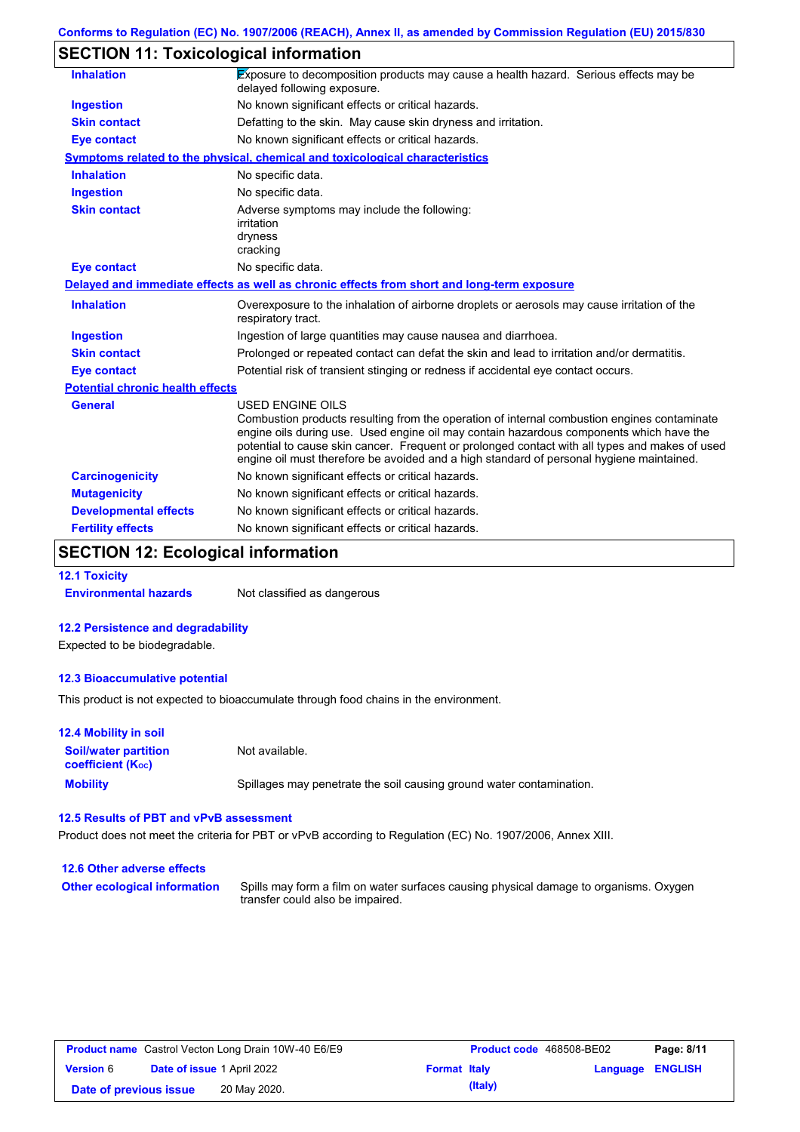# **SECTION 11: Toxicological information**

| <b>Inhalation</b>                       | Exposure to decomposition products may cause a health hazard. Serious effects may be<br>delayed following exposure.                                                                                                                                                                                                                                                                                      |
|-----------------------------------------|----------------------------------------------------------------------------------------------------------------------------------------------------------------------------------------------------------------------------------------------------------------------------------------------------------------------------------------------------------------------------------------------------------|
| <b>Ingestion</b>                        | No known significant effects or critical hazards.                                                                                                                                                                                                                                                                                                                                                        |
| <b>Skin contact</b>                     | Defatting to the skin. May cause skin dryness and irritation.                                                                                                                                                                                                                                                                                                                                            |
| <b>Eye contact</b>                      | No known significant effects or critical hazards.                                                                                                                                                                                                                                                                                                                                                        |
|                                         | <b>Symptoms related to the physical, chemical and toxicological characteristics</b>                                                                                                                                                                                                                                                                                                                      |
| <b>Inhalation</b>                       | No specific data.                                                                                                                                                                                                                                                                                                                                                                                        |
| <b>Ingestion</b>                        | No specific data.                                                                                                                                                                                                                                                                                                                                                                                        |
| <b>Skin contact</b>                     | Adverse symptoms may include the following:<br>irritation<br>dryness<br>cracking                                                                                                                                                                                                                                                                                                                         |
| <b>Eye contact</b>                      | No specific data.                                                                                                                                                                                                                                                                                                                                                                                        |
|                                         | Delayed and immediate effects as well as chronic effects from short and long-term exposure                                                                                                                                                                                                                                                                                                               |
| <b>Inhalation</b>                       | Overexposure to the inhalation of airborne droplets or aerosols may cause irritation of the<br>respiratory tract.                                                                                                                                                                                                                                                                                        |
| <b>Ingestion</b>                        | Ingestion of large quantities may cause nausea and diarrhoea.                                                                                                                                                                                                                                                                                                                                            |
| <b>Skin contact</b>                     | Prolonged or repeated contact can defat the skin and lead to irritation and/or dermatitis.                                                                                                                                                                                                                                                                                                               |
| <b>Eye contact</b>                      | Potential risk of transient stinging or redness if accidental eye contact occurs.                                                                                                                                                                                                                                                                                                                        |
| <b>Potential chronic health effects</b> |                                                                                                                                                                                                                                                                                                                                                                                                          |
| <b>General</b>                          | USED ENGINE OILS<br>Combustion products resulting from the operation of internal combustion engines contaminate<br>engine oils during use. Used engine oil may contain hazardous components which have the<br>potential to cause skin cancer. Frequent or prolonged contact with all types and makes of used<br>engine oil must therefore be avoided and a high standard of personal hygiene maintained. |
| <b>Carcinogenicity</b>                  | No known significant effects or critical hazards.                                                                                                                                                                                                                                                                                                                                                        |
| <b>Mutagenicity</b>                     | No known significant effects or critical hazards.                                                                                                                                                                                                                                                                                                                                                        |
| <b>Developmental effects</b>            | No known significant effects or critical hazards.                                                                                                                                                                                                                                                                                                                                                        |
| <b>Fertility effects</b>                | No known significant effects or critical hazards.                                                                                                                                                                                                                                                                                                                                                        |
|                                         |                                                                                                                                                                                                                                                                                                                                                                                                          |

# **SECTION 12: Ecological information**

**12.1 Toxicity**

**Environmental hazards** Not classified as dangerous

### **12.2 Persistence and degradability**

Expected to be biodegradable.

### **12.3 Bioaccumulative potential**

This product is not expected to bioaccumulate through food chains in the environment.

| <b>12.4 Mobility in soil</b>                                  |                                                                      |
|---------------------------------------------------------------|----------------------------------------------------------------------|
| <b>Soil/water partition</b><br>coefficient (K <sub>oc</sub> ) | Not available.                                                       |
| <b>Mobility</b>                                               | Spillages may penetrate the soil causing ground water contamination. |

#### **12.5 Results of PBT and vPvB assessment**

Product does not meet the criteria for PBT or vPvB according to Regulation (EC) No. 1907/2006, Annex XIII.

### **12.6 Other adverse effects Other ecological information**

Spills may form a film on water surfaces causing physical damage to organisms. Oxygen transfer could also be impaired.

| <b>Product name</b> Castrol Vecton Long Drain 10W-40 E6/E9 |                                   |              | <b>Product code</b> 468508-BE02 |         | Page: 8/11       |  |
|------------------------------------------------------------|-----------------------------------|--------------|---------------------------------|---------|------------------|--|
| <b>Version 6</b>                                           | <b>Date of issue 1 April 2022</b> |              | <b>Format Italy</b>             |         | Language ENGLISH |  |
| Date of previous issue                                     |                                   | 20 May 2020. |                                 | (Italy) |                  |  |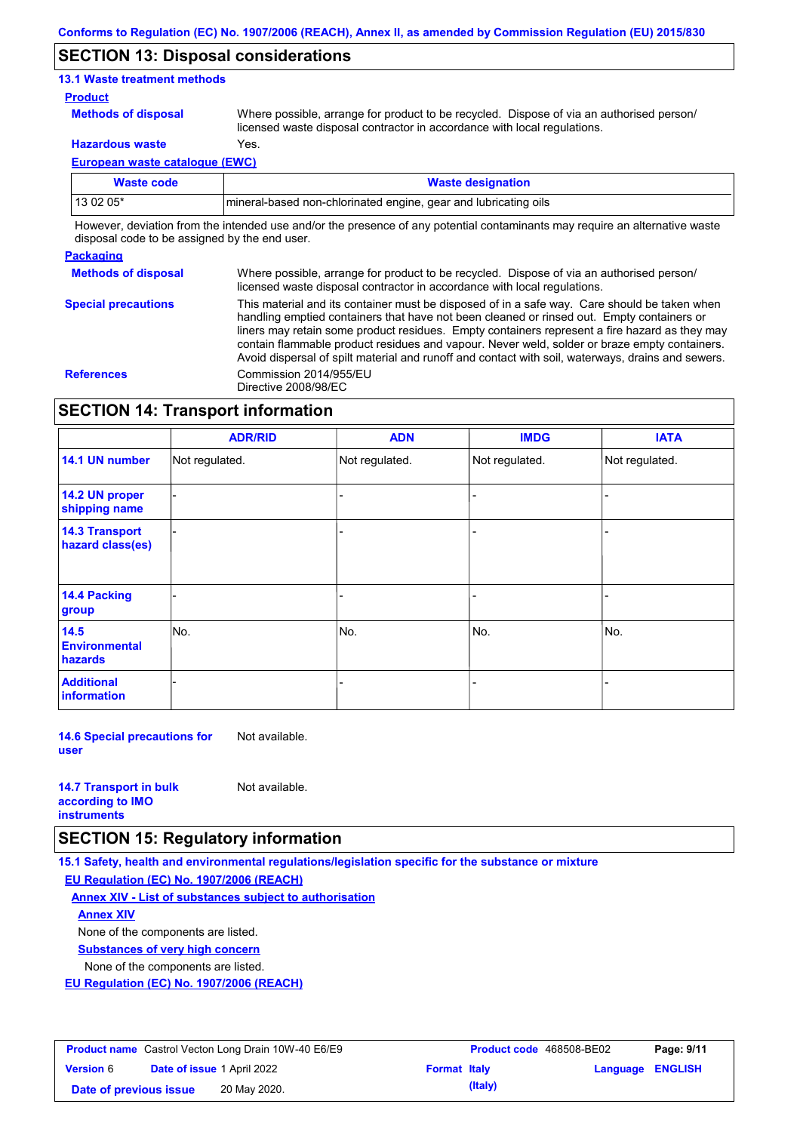## **SECTION 13: Disposal considerations**

### **13.1 Waste treatment methods**

#### **Product**

**Methods of disposal**

Where possible, arrange for product to be recycled. Dispose of via an authorised person/ licensed waste disposal contractor in accordance with local regulations.

**Hazardous waste** Yes.

**European waste catalogue (EWC)**

| Waste code | <b>Waste designation</b>                                         |
|------------|------------------------------------------------------------------|
| 13 02 05*  | Imineral-based non-chlorinated engine, gear and lubricating oils |

However, deviation from the intended use and/or the presence of any potential contaminants may require an alternative waste disposal code to be assigned by the end user.

#### **Packaging**

**Special precautions**

**Methods of disposal** Where possible, arrange for product to be recycled. Dispose of via an authorised person/ licensed waste disposal contractor in accordance with local regulations.

This material and its container must be disposed of in a safe way. Care should be taken when handling emptied containers that have not been cleaned or rinsed out. Empty containers or liners may retain some product residues. Empty containers represent a fire hazard as they may contain flammable product residues and vapour. Never weld, solder or braze empty containers. Avoid dispersal of spilt material and runoff and contact with soil, waterways, drains and sewers. **References** Commission 2014/955/EU Directive 2008/98/EC

## **SECTION 14: Transport information**

|                                           | <b>ADR/RID</b> | <b>ADN</b>     | <b>IMDG</b>    | <b>IATA</b>    |  |
|-------------------------------------------|----------------|----------------|----------------|----------------|--|
| 14.1 UN number                            | Not regulated. | Not regulated. | Not regulated. | Not regulated. |  |
| 14.2 UN proper<br>shipping name           |                |                |                |                |  |
| <b>14.3 Transport</b><br>hazard class(es) |                |                |                |                |  |
| <b>14.4 Packing</b><br>group              |                |                |                |                |  |
| 14.5<br><b>Environmental</b><br>hazards   | No.            | No.            | No.            | No.            |  |
| <b>Additional</b><br>information          |                |                |                |                |  |

**14.6 Special precautions for user** Not available.

| <b>14.7 Transport in bulk</b> | Not available. |
|-------------------------------|----------------|
| according to <b>IMO</b>       |                |
| <b>instruments</b>            |                |

## **SECTION 15: Regulatory information**

**15.1 Safety, health and environmental regulations/legislation specific for the substance or mixture**

**EU Regulation (EC) No. 1907/2006 (REACH)**

**Annex XIV - List of substances subject to authorisation**

**Annex XIV**

None of the components are listed.

**Substances of very high concern**

None of the components are listed.

**EU Regulation (EC) No. 1907/2006 (REACH)**

| <b>Product name</b> Castrol Vecton Long Drain 10W-40 E6/E9 |                                   | Product code 468508-BE02 |                     | Page: 9/11 |                         |  |
|------------------------------------------------------------|-----------------------------------|--------------------------|---------------------|------------|-------------------------|--|
| <b>Version 6</b>                                           | <b>Date of issue 1 April 2022</b> |                          | <b>Format Italy</b> |            | <b>Language ENGLISH</b> |  |
| Date of previous issue                                     |                                   | 20 May 2020.             |                     | (Italy)    |                         |  |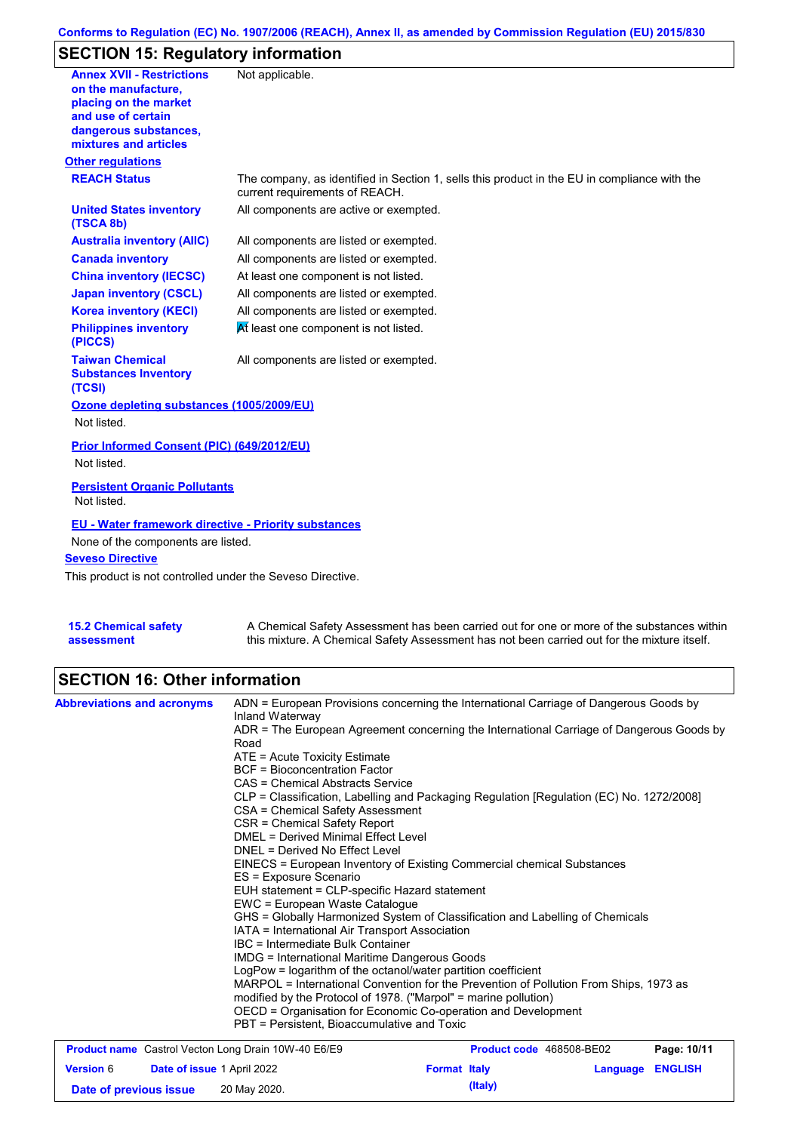## **Conforms to Regulation (EC) No. 1907/2006 (REACH), Annex II, as amended by Commission Regulation (EU) 2015/830**

# **SECTION 15: Regulatory information**

| <b>Annex XVII - Restrictions</b><br>on the manufacture.<br>placing on the market<br>and use of certain<br>dangerous substances,<br>mixtures and articles<br><b>Other regulations</b> | Not applicable.                                                                                                                |
|--------------------------------------------------------------------------------------------------------------------------------------------------------------------------------------|--------------------------------------------------------------------------------------------------------------------------------|
| <b>REACH Status</b>                                                                                                                                                                  | The company, as identified in Section 1, sells this product in the EU in compliance with the<br>current requirements of REACH. |
| <b>United States inventory</b><br>(TSCA 8b)                                                                                                                                          | All components are active or exempted.                                                                                         |
| <b>Australia inventory (AIIC)</b>                                                                                                                                                    | All components are listed or exempted.                                                                                         |
| <b>Canada inventory</b>                                                                                                                                                              | All components are listed or exempted.                                                                                         |
| <b>China inventory (IECSC)</b>                                                                                                                                                       | At least one component is not listed.                                                                                          |
| <b>Japan inventory (CSCL)</b>                                                                                                                                                        | All components are listed or exempted.                                                                                         |
| <b>Korea inventory (KECI)</b>                                                                                                                                                        | All components are listed or exempted.                                                                                         |
| <b>Philippines inventory</b><br>(PICCS)                                                                                                                                              | At least one component is not listed.                                                                                          |
| <b>Taiwan Chemical</b><br><b>Substances Inventory</b><br>(TCSI)                                                                                                                      | All components are listed or exempted.                                                                                         |
| Ozone depleting substances (1005/2009/EU)<br>Not listed.                                                                                                                             |                                                                                                                                |
| Prior Informed Consent (PIC) (649/2012/EU)<br>Not listed.                                                                                                                            |                                                                                                                                |
| <b>Persistent Organic Pollutants</b><br>Not listed.                                                                                                                                  |                                                                                                                                |
| <b>EU - Water framework directive - Priority substances</b>                                                                                                                          |                                                                                                                                |
| None of the components are listed.                                                                                                                                                   |                                                                                                                                |
| <b>Seveso Directive</b>                                                                                                                                                              |                                                                                                                                |
| This product is not controlled under the Seveso Directive.                                                                                                                           |                                                                                                                                |
|                                                                                                                                                                                      |                                                                                                                                |

| <b>15.2 Chemical safety</b> | A Chemical Safety Assessment has been carried out for one or more of the substances within  |
|-----------------------------|---------------------------------------------------------------------------------------------|
| assessment                  | this mixture. A Chemical Safety Assessment has not been carried out for the mixture itself. |

## **SECTION 16: Other information**

| <b>Abbreviations and acronyms</b> |                            | ADN = European Provisions concerning the International Carriage of Dangerous Goods by<br>Inland Waterway                                                                                                                                                                                                                                                                                                                                                                                                                                                      |                          |          |                |  |  |
|-----------------------------------|----------------------------|---------------------------------------------------------------------------------------------------------------------------------------------------------------------------------------------------------------------------------------------------------------------------------------------------------------------------------------------------------------------------------------------------------------------------------------------------------------------------------------------------------------------------------------------------------------|--------------------------|----------|----------------|--|--|
|                                   |                            | ADR = The European Agreement concerning the International Carriage of Dangerous Goods by<br>Road                                                                                                                                                                                                                                                                                                                                                                                                                                                              |                          |          |                |  |  |
|                                   |                            | ATE = Acute Toxicity Estimate                                                                                                                                                                                                                                                                                                                                                                                                                                                                                                                                 |                          |          |                |  |  |
|                                   |                            | <b>BCF</b> = Bioconcentration Factor                                                                                                                                                                                                                                                                                                                                                                                                                                                                                                                          |                          |          |                |  |  |
|                                   |                            | CAS = Chemical Abstracts Service                                                                                                                                                                                                                                                                                                                                                                                                                                                                                                                              |                          |          |                |  |  |
|                                   |                            | CLP = Classification, Labelling and Packaging Regulation [Regulation (EC) No. 1272/2008]                                                                                                                                                                                                                                                                                                                                                                                                                                                                      |                          |          |                |  |  |
|                                   |                            | CSA = Chemical Safety Assessment                                                                                                                                                                                                                                                                                                                                                                                                                                                                                                                              |                          |          |                |  |  |
|                                   |                            | CSR = Chemical Safety Report                                                                                                                                                                                                                                                                                                                                                                                                                                                                                                                                  |                          |          |                |  |  |
|                                   |                            | DMEL = Derived Minimal Effect Level<br>DNEL = Derived No Effect Level<br>EINECS = European Inventory of Existing Commercial chemical Substances<br>ES = Exposure Scenario<br>EUH statement = CLP-specific Hazard statement<br>EWC = European Waste Catalogue<br>GHS = Globally Harmonized System of Classification and Labelling of Chemicals<br>IATA = International Air Transport Association<br>IBC = Intermediate Bulk Container<br><b>IMDG</b> = International Maritime Dangerous Goods<br>LogPow = logarithm of the octanol/water partition coefficient |                          |          |                |  |  |
|                                   |                            |                                                                                                                                                                                                                                                                                                                                                                                                                                                                                                                                                               |                          |          |                |  |  |
|                                   |                            |                                                                                                                                                                                                                                                                                                                                                                                                                                                                                                                                                               |                          |          |                |  |  |
|                                   |                            |                                                                                                                                                                                                                                                                                                                                                                                                                                                                                                                                                               |                          |          |                |  |  |
|                                   |                            |                                                                                                                                                                                                                                                                                                                                                                                                                                                                                                                                                               |                          |          |                |  |  |
|                                   |                            |                                                                                                                                                                                                                                                                                                                                                                                                                                                                                                                                                               |                          |          |                |  |  |
|                                   |                            |                                                                                                                                                                                                                                                                                                                                                                                                                                                                                                                                                               |                          |          |                |  |  |
|                                   |                            |                                                                                                                                                                                                                                                                                                                                                                                                                                                                                                                                                               |                          |          |                |  |  |
|                                   |                            |                                                                                                                                                                                                                                                                                                                                                                                                                                                                                                                                                               |                          |          |                |  |  |
|                                   |                            |                                                                                                                                                                                                                                                                                                                                                                                                                                                                                                                                                               |                          |          |                |  |  |
|                                   |                            | MARPOL = International Convention for the Prevention of Pollution From Ships, 1973 as<br>modified by the Protocol of 1978. ("Marpol" = marine pollution)<br>OECD = Organisation for Economic Co-operation and Development                                                                                                                                                                                                                                                                                                                                     |                          |          |                |  |  |
|                                   |                            |                                                                                                                                                                                                                                                                                                                                                                                                                                                                                                                                                               |                          |          |                |  |  |
|                                   |                            |                                                                                                                                                                                                                                                                                                                                                                                                                                                                                                                                                               |                          |          |                |  |  |
|                                   |                            | PBT = Persistent, Bioaccumulative and Toxic                                                                                                                                                                                                                                                                                                                                                                                                                                                                                                                   |                          |          |                |  |  |
|                                   |                            | <b>Product name</b> Castrol Vecton Long Drain 10W-40 E6/E9                                                                                                                                                                                                                                                                                                                                                                                                                                                                                                    | Product code 468508-BE02 |          | Page: 10/11    |  |  |
| <b>Version 6</b>                  | Date of issue 1 April 2022 |                                                                                                                                                                                                                                                                                                                                                                                                                                                                                                                                                               | <b>Format Italy</b>      | Language | <b>ENGLISH</b> |  |  |

**Date of previous issue 20 May 2020. Conservery and Structure (Italy) (Italy)**